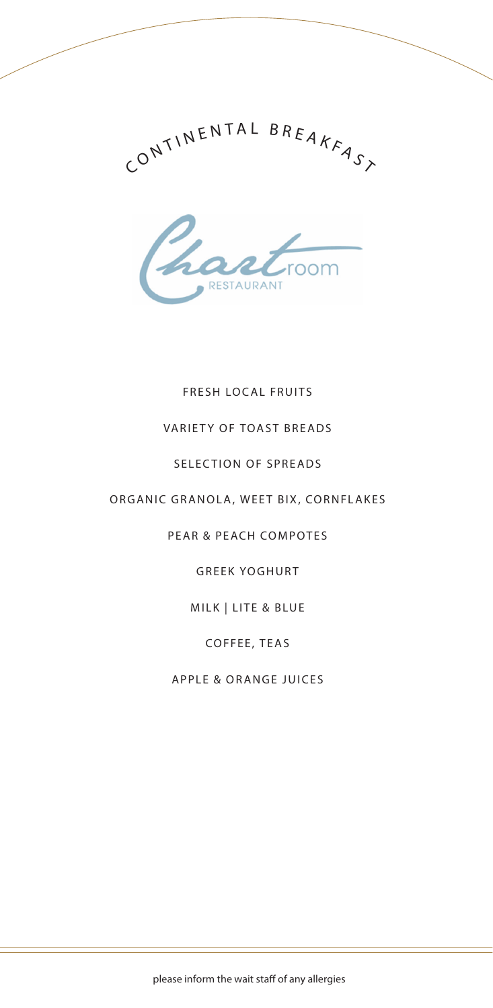



# FRESH LOCAL FRUITS

# VARIETY OF TOAST BREADS

#### SELECTION OF SPREADS

### ORGANIC GRANOLA, WEET BIX, CORNFLAKES

# PEAR & PEACH COMPOTES

# GREEK YOGHURT

#### MILK | LITE & BLUE

# COFFEE, TEAS

# APPLE & ORANGE JUICES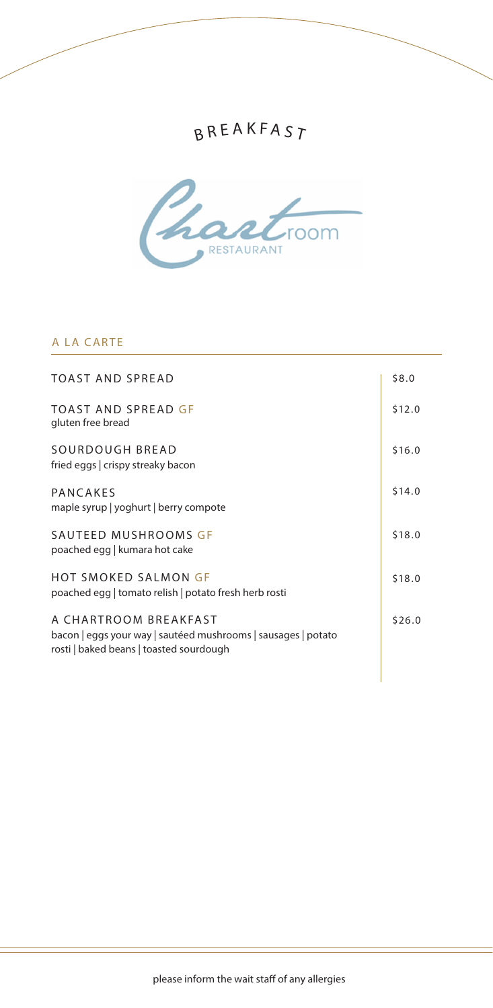# B R E A K F A S  $_{\it 7}$



### A LA CARTE

| \$8.0  |
|--------|
| \$12.0 |
| \$16.0 |
| \$14.0 |
| \$18.0 |
| \$18.0 |
| \$26.0 |
|        |